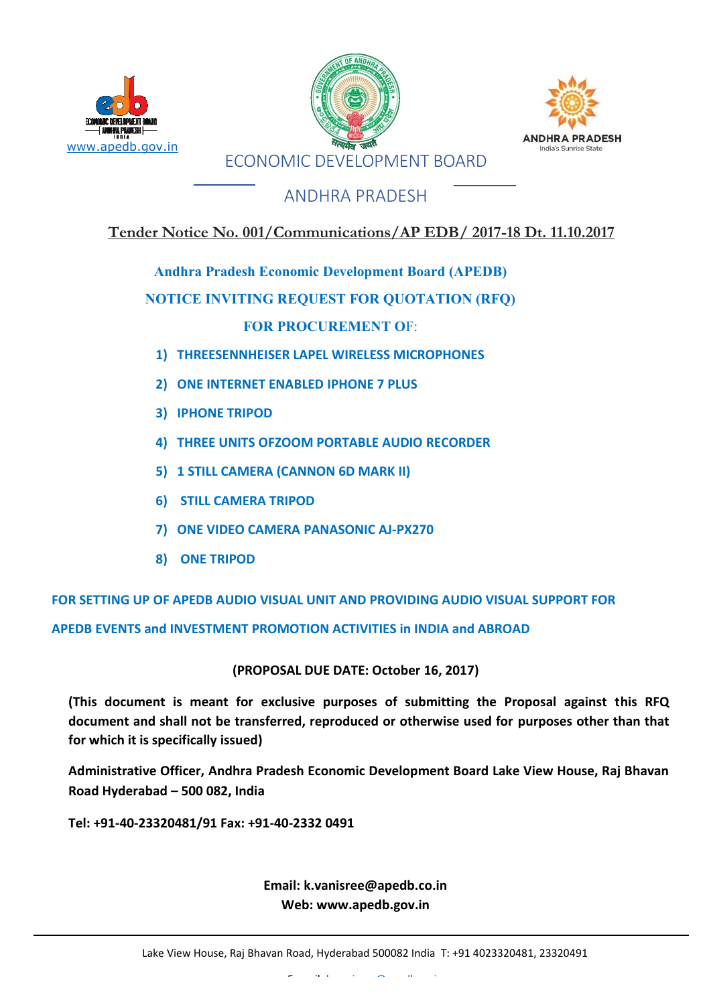





## ANDHRA PRADESH

### **Tender Notice No. 001/Communications/AP EDB/ 2017-18 Dt. 11.10.2017**

**Andhra Pradesh Economic Development Board (APEDB)** 

#### **NOTICE INVITING REQUEST FOR QUOTATION (RFQ)**

#### **FOR PROCUREMENT O**F:

- **1) THREESENNHEISER LAPEL WIRELESS MICROPHONES**
- **2) ONE INTERNET ENABLED IPHONE 7 PLUS**
- **3) IPHONE TRIPOD**
- **4) THREE UNITS OFZOOM PORTABLE AUDIO RECORDER**
- **5) 1 STILL CAMERA (CANNON 6D MARK II)**
- **6) STILL CAMERA TRIPOD**
- **7) ONE VIDEO CAMERA PANASONIC AJ-PX270**
- **8) ONE TRIPOD**

**FOR SETTING UP OF APEDB AUDIO VISUAL UNIT AND PROVIDING AUDIO VISUAL SUPPORT FOR**

**APEDB EVENTS and INVESTMENT PROMOTION ACTIVITIES in INDIA and ABROAD**

**(PROPOSAL DUE DATE: October 16, 2017)**

**(This document is meant for exclusive purposes of submitting the Proposal against this RFQ document and shall not be transferred, reproduced or otherwise used for purposes other than that for which it is specifically issued)**

**Administrative Officer, Andhra Pradesh Economic Development Board Lake View House, Raj Bhavan Road Hyderabad – 500 082, India**

**Tel: +91-40-23320481/91 Fax: +91-40-2332 0491**

**Email: [k.vanisree@apedb.co.in](mailto:k.vanisree@apedb.co.in) Web: [www.apedb.gov.in](http://www.apedb.gov.in/)**